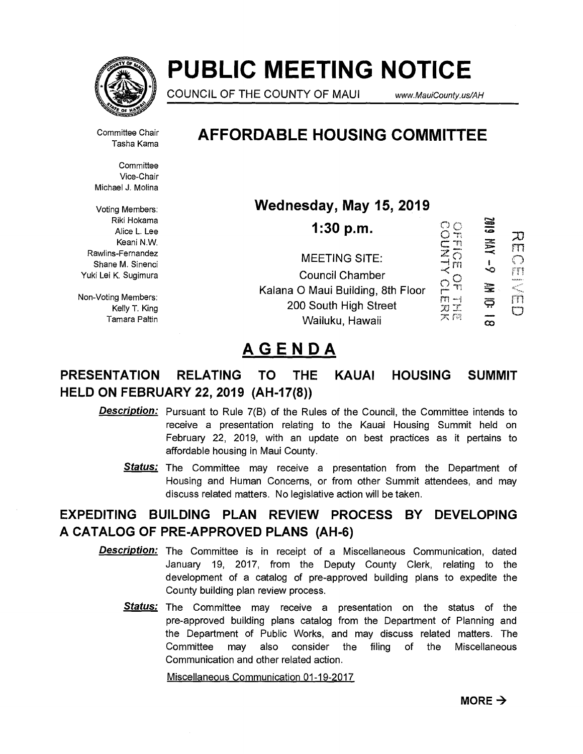

# **PUBLIC MEETING NOTICE**

COUNCIL OF THE COUNTY OF MAUI www.MauiCounty.us/AH

Committee Chair Tasha Kama

**Committee** Vice-Chair Michael J. Molina

Voting Members: Riki Hokama Alice L. Lee Keani N.W. Rawlins-Fernandez Shane M. Sinenci Yuki Lei K. Sugimura

Non-Voting Members: Kelly T. King Tamara Paltin

# **AFFORDABLE HOUSING COMMITTEE**

**Wednesday, May 15, 2019** 

SIDZ  $S_{n}^{\circ}$ **1:30 p.m. ALNINO** ガ  $\frac{1}{\overline{O}}$  $FT$ MEETING SITE:  $\bigcirc$  $\Gamma$ 1 m Council Chamber  $\frac{1}{2}$   $\frac{1}{2}$   $\frac{1}{2}$   $\frac{1}{2}$   $\frac{1}{2}$ en men<br>aspare<br>Bangsa 霊 Kalana 0 Maui Building, 8th Floor  $\Box$ ౚ 200 South High Street R X  $\Box$ 大四 Wailuku, Hawaii  $\infty$ 

# **AGENDA**

### **PRESENTATION RELATING TO THE KAUAI HOUSING SUMMIT HELD ON FEBRUARY 22, 2019 (AH-17(8))**

- **Description:**  Pursuant to Rule 7(B) of the Rules of the Council, the Committee intends to receive a presentation relating to the Kauai Housing Summit held on February 22, 2019, with an update on best practices as it pertains to affordable housing in Maui County.
	- Status: The Committee may receive a presentation from the Department of Housing and Human Concerns, or from other Summit attendees, and may discuss related matters. No legislative action will be taken.

### **EXPEDITING BUILDING PLAN REVIEW PROCESS BY DEVELOPING A CATALOG OF PRE-APPROVED PLANS (AH-6)**

- **Description:**  The Committee is in receipt of a Miscellaneous Communication, dated January 19, 2017, from the Deputy County Clerk, relating to the development of a catalog of pre-approved building plans to expedite the County building plan review process.
	- **Status:**  The Committee may receive a presentation on the status of the pre-approved building plans catalog from the Department of Planning and the Department of Public Works, and may discuss related matters. The Committee may also consider the filing of the Miscellaneous Communication and other related action.

Miscellaneous Communication 01-19-2017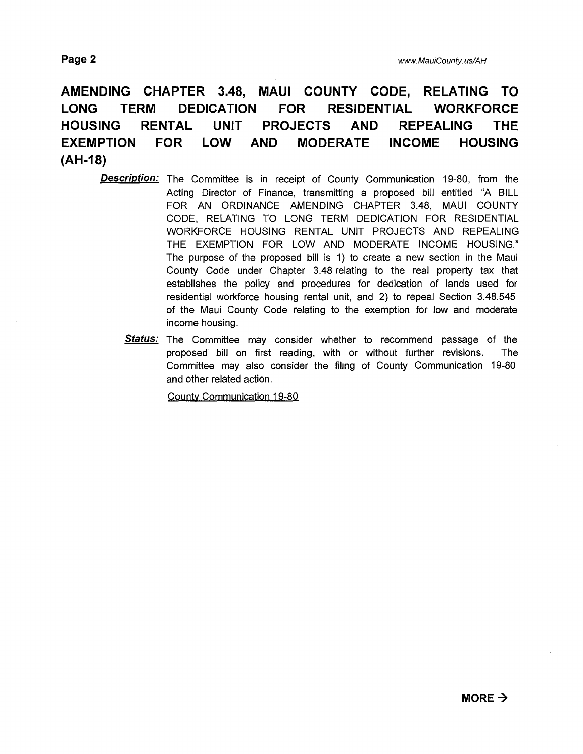## **AMENDING CHAPTER 3.48, MAUI COUNTY CODE, RELATING TO LONG TERM DEDICATION FOR RESIDENTIAL WORKFORCE HOUSING RENTAL UNIT PROJECTS AND REPEALING THE EXEMPTION FOR LOW AND MODERATE INCOME HOUSING (AH-18)**

- **Description:** The Committee is in receipt of County Communication 19-80, from the Acting Director of Finance, transmitting a proposed bill entitled "A BILL FOR AN ORDINANCE AMENDING CHAPTER 3.48, MAUI COUNTY CODE, RELATING TO LONG TERM DEDICATION FOR RESIDENTIAL WORKFORCE HOUSING RENTAL UNIT PROJECTS AND REPEALING THE EXEMPTION FOR LOW AND MODERATE INCOME HOUSING." The purpose of the proposed bill is 1) to create a new section in the Maui County Code under Chapter 3.48 relating to the real property tax that establishes the policy and procedures for dedication of lands used for residential workforce housing rental unit, and 2) to repeal Section 3.48.545 of the Maui County Code relating to the exemption for low and moderate income housing.
	- **Status:** The Committee may consider whether to recommend passage of the proposed bill on first reading, with or without further revisions. The Committee may also consider the filing of County Communication 19-80 and other related action.

County Communication 19-80